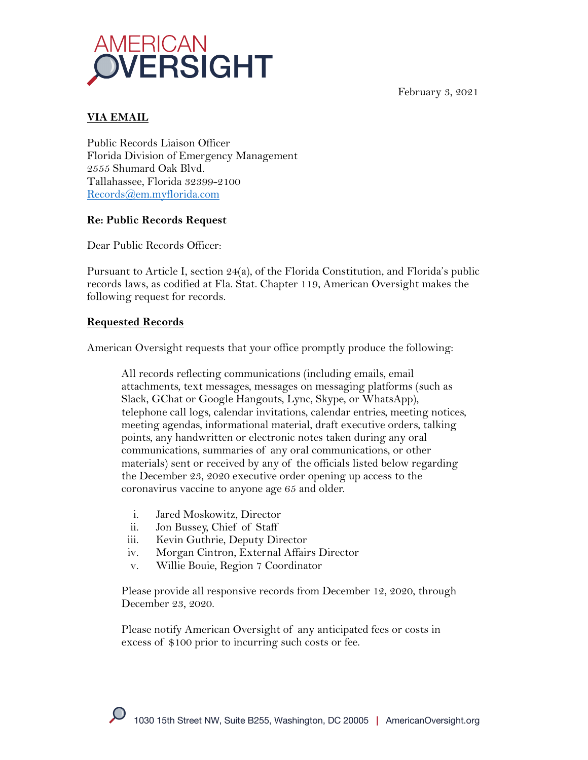

February 3, 2021

## **VIA EMAIL**

Public Records Liaison Officer Florida Division of Emergency Management 2555 Shumard Oak Blvd. Tallahassee, Florida 32399-2100 Records@em.myflorida.com

## **Re: Public Records Request**

Dear Public Records Officer:

Pursuant to Article I, section 24(a), of the Florida Constitution, and Florida's public records laws, as codified at Fla. Stat. Chapter 119, American Oversight makes the following request for records.

## **Requested Records**

American Oversight requests that your office promptly produce the following:

All records reflecting communications (including emails, email attachments, text messages, messages on messaging platforms (such as Slack, GChat or Google Hangouts, Lync, Skype, or WhatsApp), telephone call logs, calendar invitations, calendar entries, meeting notices, meeting agendas, informational material, draft executive orders, talking points, any handwritten or electronic notes taken during any oral communications, summaries of any oral communications, or other materials) sent or received by any of the officials listed below regarding the December 23, 2020 executive order opening up access to the coronavirus vaccine to anyone age 65 and older.

- i. Jared Moskowitz, Director
- ii. Jon Bussey, Chief of Staff
- iii. Kevin Guthrie, Deputy Director
- iv. Morgan Cintron, External Affairs Director
- v. Willie Bouie, Region 7 Coordinator

Please provide all responsive records from December 12, 2020, through December 23, 2020.

Please notify American Oversight of any anticipated fees or costs in excess of \$100 prior to incurring such costs or fee.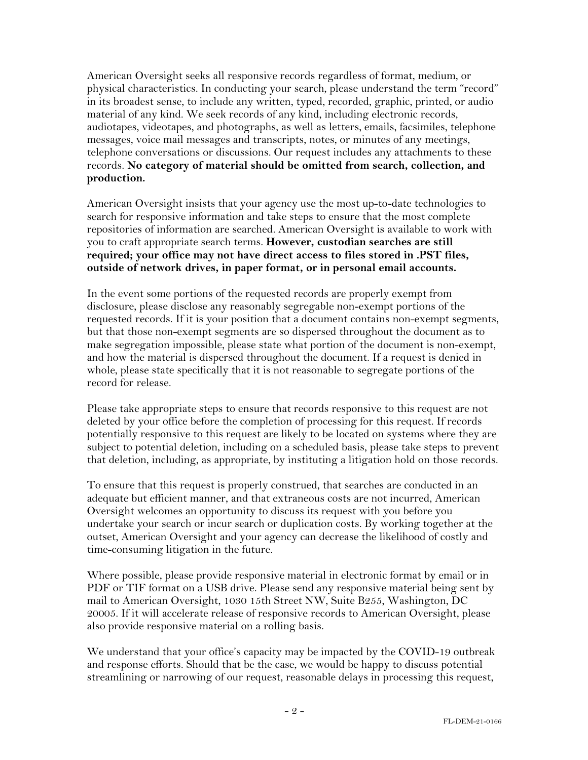American Oversight seeks all responsive records regardless of format, medium, or physical characteristics. In conducting your search, please understand the term "record" in its broadest sense, to include any written, typed, recorded, graphic, printed, or audio material of any kind. We seek records of any kind, including electronic records, audiotapes, videotapes, and photographs, as well as letters, emails, facsimiles, telephone messages, voice mail messages and transcripts, notes, or minutes of any meetings, telephone conversations or discussions. Our request includes any attachments to these records. **No category of material should be omitted from search, collection, and production.**

American Oversight insists that your agency use the most up-to-date technologies to search for responsive information and take steps to ensure that the most complete repositories of information are searched. American Oversight is available to work with you to craft appropriate search terms. **However, custodian searches are still required; your office may not have direct access to files stored in .PST files, outside of network drives, in paper format, or in personal email accounts.**

In the event some portions of the requested records are properly exempt from disclosure, please disclose any reasonably segregable non-exempt portions of the requested records. If it is your position that a document contains non-exempt segments, but that those non-exempt segments are so dispersed throughout the document as to make segregation impossible, please state what portion of the document is non-exempt, and how the material is dispersed throughout the document. If a request is denied in whole, please state specifically that it is not reasonable to segregate portions of the record for release.

Please take appropriate steps to ensure that records responsive to this request are not deleted by your office before the completion of processing for this request. If records potentially responsive to this request are likely to be located on systems where they are subject to potential deletion, including on a scheduled basis, please take steps to prevent that deletion, including, as appropriate, by instituting a litigation hold on those records.

To ensure that this request is properly construed, that searches are conducted in an adequate but efficient manner, and that extraneous costs are not incurred, American Oversight welcomes an opportunity to discuss its request with you before you undertake your search or incur search or duplication costs. By working together at the outset, American Oversight and your agency can decrease the likelihood of costly and time-consuming litigation in the future.

Where possible, please provide responsive material in electronic format by email or in PDF or TIF format on a USB drive. Please send any responsive material being sent by mail to American Oversight, 1030 15th Street NW, Suite B255, Washington, DC 20005. If it will accelerate release of responsive records to American Oversight, please also provide responsive material on a rolling basis.

We understand that your office's capacity may be impacted by the COVID-19 outbreak and response efforts. Should that be the case, we would be happy to discuss potential streamlining or narrowing of our request, reasonable delays in processing this request,